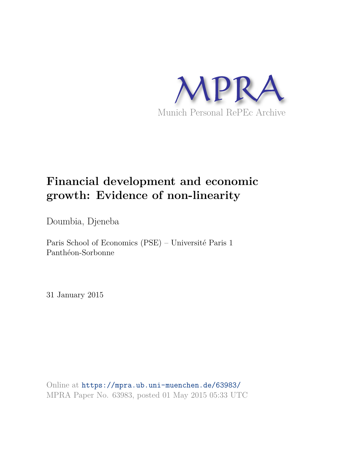

# **Financial development and economic growth: Evidence of non-linearity**

Doumbia, Djeneba

Paris School of Economics (PSE) – Université Paris 1 Panthéon-Sorbonne

31 January 2015

Online at https://mpra.ub.uni-muenchen.de/63983/ MPRA Paper No. 63983, posted 01 May 2015 05:33 UTC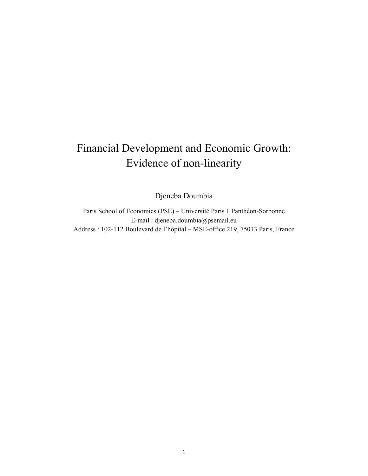# Financial Development and Economic Growth: Evidence of non-linearity

Djeneba Doumbia

Paris School of Economics (PSE) – Université Paris 1 Panthéon-Sorbonne E-mail : djeneba.doumbia@psemail.eu Address : 102-112 Boulevard de l'hôpital – MSE-office 219, 75013 Paris, France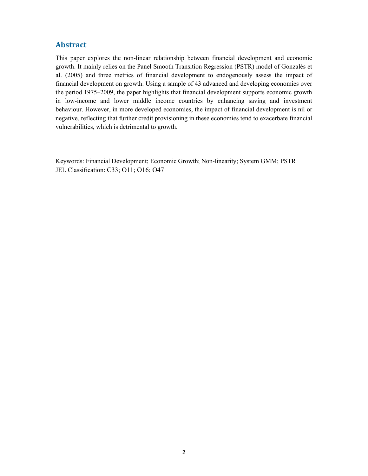## **Abstract**

This paper explores the non-linear relationship between financial development and economic growth. It mainly relies on the Panel Smooth Transition Regression (PSTR) model of Gonzalés et al. (2005) and three metrics of financial development to endogenously assess the impact of financial development on growth. Using a sample of 43 advanced and developing economies over the period 1975–2009, the paper highlights that financial development supports economic growth in low-income and lower middle income countries by enhancing saving and investment behaviour. However, in more developed economies, the impact of financial development is nil or negative, reflecting that further credit provisioning in these economies tend to exacerbate financial vulnerabilities, which is detrimental to growth.

Keywords: Financial Development; Economic Growth; Non-linearity; System GMM; PSTR JEL Classification: C33; O11; O16; O47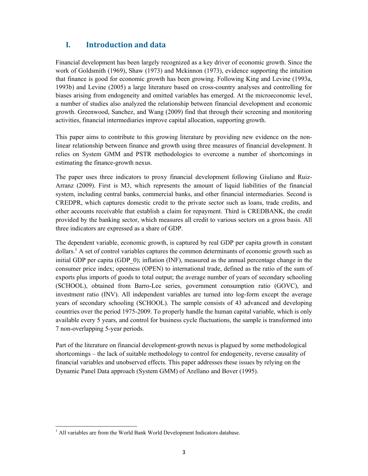## **I. Introduction and data**

Financial development has been largely recognized as a key driver of economic growth. Since the work of Goldsmith (1969), Shaw (1973) and Mckinnon (1973), evidence supporting the intuition that finance is good for economic growth has been growing. Following King and Levine (1993a, 1993b) and Levine (2005) a large literature based on cross-country analyses and controlling for biases arising from endogeneity and omitted variables has emerged. At the microeconomic level, a number of studies also analyzed the relationship between financial development and economic growth. Greenwood, Sanchez, and Wang (2009) find that through their screening and monitoring activities, financial intermediaries improve capital allocation, supporting growth.

This paper aims to contribute to this growing literature by providing new evidence on the nonlinear relationship between finance and growth using three measures of financial development. It relies on System GMM and PSTR methodologies to overcome a number of shortcomings in estimating the finance-growth nexus.

The paper uses three indicators to proxy financial development following Giuliano and Ruiz-Arranz (2009). First is M3, which represents the amount of liquid liabilities of the financial system, including central banks, commercial banks, and other financial intermediaries. Second is CREDPR, which captures domestic credit to the private sector such as loans, trade credits, and other accounts receivable that establish a claim for repayment. Third is CREDBANK, the credit provided by the banking sector, which measures all credit to various sectors on a gross basis. All three indicators are expressed as a share of GDP.

The dependent variable, economic growth, is captured by real GDP per capita growth in constant dollars.<sup>1</sup> A set of control variables captures the common determinants of economic growth such as initial GDP per capita (GDP\_0); inflation (INF), measured as the annual percentage change in the consumer price index; openness (OPEN) to international trade, defined as the ratio of the sum of exports plus imports of goods to total output; the average number of years of secondary schooling (SCHOOL), obtained from Barro-Lee series, government consumption ratio (GOVC), and investment ratio (INV). All independent variables are turned into log-form except the average years of secondary schooling (SCHOOL). The sample consists of 43 advanced and developing countries over the period 1975-2009. To properly handle the human capital variable, which is only available every 5 years, and control for business cycle fluctuations, the sample is transformed into 7 non-overlapping 5-year periods.

Part of the literature on financial development-growth nexus is plagued by some methodological shortcomings – the lack of suitable methodology to control for endogeneity, reverse causality of financial variables and unobserved effects. This paper addresses these issues by relying on the Dynamic Panel Data approach (System GMM) of Arellano and Bover (1995).

 $\overline{a}$ 

<sup>&</sup>lt;sup>1</sup> All variables are from the World Bank World Development Indicators database.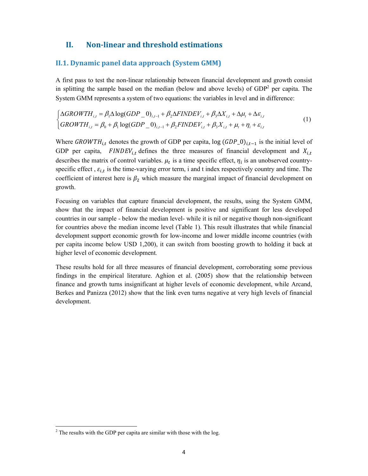### **II. Non-linear and threshold estimations**

#### **II.1. Dynamic panel data approach (System GMM)**

A first pass to test the non-linear relationship between financial development and growth consist in splitting the sample based on the median (below and above levels) of  $GDP<sup>2</sup>$  per capita. The System GMM represents a system of two equations: the variables in level and in difference: 

$$
\begin{cases}\n\Delta GROWTH_{i,t} = \beta_1 \Delta \log (GDP_0)_{i,t-1} + \beta_2 \Delta FINDEV_{i,t} + \beta_3 \Delta X_{i,t} + \Delta \mu_t + \Delta \varepsilon_{i,t} \\
\partial ROWTH_{i,t} = \beta_0 + \beta_1 \log (GDP_0)_{i,t-1} + \beta_2 FINDEV_{i,t} + \beta_3 X_{i,t} + \mu_t + \eta_i + \varepsilon_{i,t}\n\end{cases} (1)
$$

Where  $GROWTH_{i,t}$  denotes the growth of GDP per capita, log  $(GDP_0)_{i,t-1}$  is the initial level of GDP per capita,  $FINDEV_{i,t}$  defines the three measures of financial development and  $X_{i,t}$ describes the matrix of control variables.  $\mu_t$  is a time specific effect,  $\eta_i$  is an unobserved countryspecific effect,  $\varepsilon_{i,t}$  is the time-varying error term, i and t index respectively country and time. The coefficient of interest here is  $\beta_2$  which measure the marginal impact of financial development on growth.

Focusing on variables that capture financial development, the results, using the System GMM, show that the impact of financial development is positive and significant for less developed countries in our sample - below the median level- while it is nil or negative though non-significant for countries above the median income level (Table 1). This result illustrates that while financial development support economic growth for low-income and lower middle income countries (with per capita income below USD 1,200), it can switch from boosting growth to holding it back at higher level of economic development*.*

These results hold for all three measures of financial development, corroborating some previous findings in the empirical literature. Aghion et al. (2005) show that the relationship between finance and growth turns insignificant at higher levels of economic development, while Arcand, Berkes and Panizza (2012) show that the link even turns negative at very high levels of financial development.

 $\overline{a}$ 

 $2^2$  The results with the GDP per capita are similar with those with the log.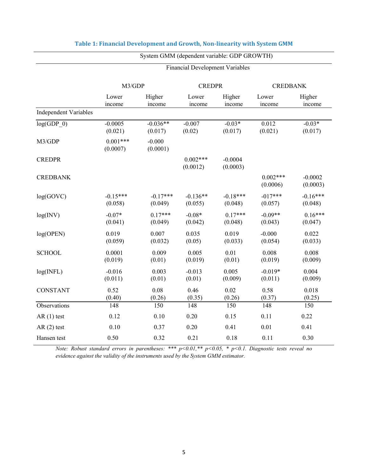|                              | <b>Financial Development Variables</b> |                       |                        |                       |                        |                       |
|------------------------------|----------------------------------------|-----------------------|------------------------|-----------------------|------------------------|-----------------------|
|                              | M3/GDP                                 |                       | <b>CREDPR</b>          |                       | <b>CREDBANK</b>        |                       |
|                              | Lower<br>income                        | Higher<br>income      | Lower<br>income        | Higher<br>income      | Lower<br>income        | Higher<br>income      |
| <b>Independent Variables</b> |                                        |                       |                        |                       |                        |                       |
| log(GDP 0)                   | $-0.0005$<br>(0.021)                   | $-0.036**$<br>(0.017) | $-0.007$<br>(0.02)     | $-0.03*$<br>(0.017)   | 0.012<br>(0.021)       | $-0.03*$<br>(0.017)   |
| M3/GDP                       | $0.001***$<br>(0.0007)                 | $-0.000$<br>(0.0001)  |                        |                       |                        |                       |
| <b>CREDPR</b>                |                                        |                       | $0.002***$<br>(0.0012) | $-0.0004$<br>(0.0003) |                        |                       |
| <b>CREDBANK</b>              |                                        |                       |                        |                       | $0.002***$<br>(0.0006) | $-0.0002$<br>(0.0003) |
| log(GOVC)                    | $-0.15***$<br>(0.058)                  | $-0.17***$<br>(0.049) | $-0.136**$<br>(0.055)  | $-0.18***$<br>(0.048) | $-017***$<br>(0.057)   | $-0.16***$<br>(0.048) |
| log(INV)                     | $-0.07*$<br>(0.041)                    | $0.17***$<br>(0.049)  | $-0.08*$<br>(0.042)    | $0.17***$<br>(0.048)  | $-0.09**$<br>(0.043)   | $0.16***$<br>(0.047)  |
| log(OPEN)                    | 0.019<br>(0.059)                       | 0.007<br>(0.032)      | 0.035<br>(0.05)        | 0.019<br>(0.033)      | $-0.000$<br>(0.054)    | 0.022<br>(0.033)      |
| <b>SCHOOL</b>                | 0.0001<br>(0.019)                      | 0.009<br>(0.01)       | 0.005<br>(0.019)       | 0.01<br>(0.01)        | 0.008<br>(0.019)       | 0.008<br>(0.009)      |
| log(NFL)                     | $-0.016$<br>(0.011)                    | 0.003<br>(0.01)       | $-0.013$<br>(0.01)     | 0.005<br>(0.009)      | $-0.019*$<br>(0.011)   | 0.004<br>(0.009)      |
| <b>CONSTANT</b>              | 0.52<br>(0.40)                         | 0.08<br>(0.26)        | 0.46<br>(0.35)         | 0.02<br>(0.26)        | 0.58<br>(0.37)         | 0.018<br>(0.25)       |
| Observations                 | 148                                    | 150                   | 148                    | 150                   | 148                    | 150                   |
| $AR(1)$ test                 | 0.12                                   | 0.10                  | 0.20                   | 0.15                  | 0.11                   | 0.22                  |
| $AR(2)$ test                 | 0.10                                   | 0.37                  | 0.20                   | 0.41                  | 0.01                   | 0.41                  |
| Hansen test                  | 0.50                                   | 0.32                  | 0.21                   | 0.18                  | 0.11                   | 0.30                  |

### **Table 1: Financial Development and Growth, Non-linearity with System GMM**

System GMM (dependent variable: GDP GROWTH)

*Note: Robust standard errors in parentheses: \*\*\* p<0.01,\*\* p<0.05, \* p<0.1. Diagnostic tests reveal no evidence against the validity of the instruments used by the System GMM estimator.*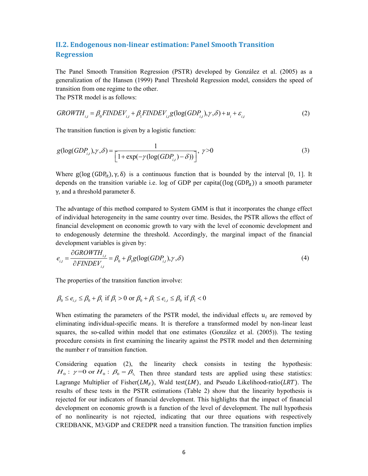# **II.2. Endogenous non-linear estimation: Panel Smooth Transition Regression**

The Panel Smooth Transition Regression (PSTR) developed by González et al. (2005) as a generalization of the Hansen (1999) Panel Threshold Regression model, considers the speed of transition from one regime to the other.

The PSTR model is as follows:

$$
GROWTH_{i,t} = \beta_0 FINDEF_{i,t} + \beta_1 FINDEF_{i,t}g(\log(GDP_{i,t}), \gamma, \delta) + u_i + \varepsilon_{i,t}
$$
\n<sup>(2)</sup>

The transition function is given by a logistic function:

$$
g(\log(GDP_{i,t}), \gamma, \delta) = \frac{1}{\left[1 + \exp(-\gamma(\log(GDP_{i,t}) - \delta))\right]}, \ \gamma > 0 \tag{3}
$$

Where g(log (GDP<sub>it</sub>),  $\gamma$ ,  $\delta$ ) is a continuous function that is bounded by the interval [0, 1]. It depends on the transition variable i.e. log of GDP per capita( $(\log(GDP_{ir}))$ ) a smooth parameter γ, and a threshold parameter  $\delta$ .

The advantage of this method compared to System GMM is that it incorporates the change effect of individual heterogeneity in the same country over time. Besides, the PSTR allows the effect of financial development on economic growth to vary with the level of economic development and to endogenously determine the threshold. Accordingly, the marginal impact of the financial development variables is given by:

$$
e_{i,t} = \frac{\partial GROWTH_{i,t}}{\partial FINDEF_{i,t}} = \beta_0 + \beta_1 g(\log(GDP_{i,t}), \gamma, \delta)
$$
\n(4)

The properties of the transition function involve:

$$
\beta_0 \le e_{i,t} \le \beta_0 + \beta_1 \text{ if } \beta_1 > 0 \text{ or } \beta_0 + \beta_1 \le e_{i,t} \le \beta_0 \text{ if } \beta_1 < 0
$$

When estimating the parameters of the PSTR model, the individual effects  $u_i$  are removed by eliminating individual-specific means. It is therefore a transformed model by non-linear least squares, the so-called within model that one estimates (González et al. (2005)). The testing procedure consists in first examining the linearity against the PSTR model and then determining the number r of transition function.

Considering equation (2), the linearity check consists in testing the hypothesis:  $H_0$ :  $\gamma = 0$  or  $H_0$ :  $\beta_0 = \beta_1$ . Then three standard tests are applied using these statistics: Lagrange Multiplier of Fisher( $LM_F$ ), Wald test( $LM$ ), and Pseudo Likelihood-ratio( $LRT$ ). The results of these tests in the PSTR estimations (Table 2) show that the linearity hypothesis is rejected for our indicators of financial development. This highlights that the impact of financial development on economic growth is a function of the level of development. The null hypothesis of no nonlinearity is not rejected, indicating that our three equations with respectively CREDBANK, M3/GDP and CREDPR need a transition function. The transition function implies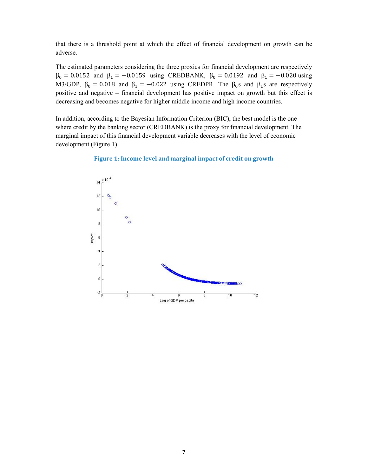that there is a threshold point at which the effect of financial development on growth can be adverse.

The estimated parameters considering the three proxies for financial development are respectively  $β_0 = 0.0152$  and  $β_1 = -0.0159$  using CREDBANK,  $β_0 = 0.0192$  and  $β_1 = -0.020$  using M3/GDP,  $\beta_0 = 0.018$  and  $\beta_1 = -0.022$  using CREDPR. The  $\beta_0$ s and  $\beta_1$ s are respectively positive and negative – financial development has positive impact on growth but this effect is decreasing and becomes negative for higher middle income and high income countries.

In addition, according to the Bayesian Information Criterion (BIC), the best model is the one where credit by the banking sector (CREDBANK) is the proxy for financial development. The marginal impact of this financial development variable decreases with the level of economic development (Figure 1).



#### **Figure 1: Income level and marginal impact of credit on growth**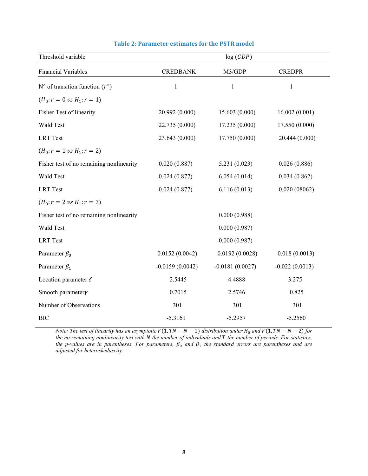| Threshold variable                         | log(GDP)          |                   |                  |  |  |
|--------------------------------------------|-------------------|-------------------|------------------|--|--|
| <b>Financial Variables</b>                 | <b>CREDBANK</b>   | M3/GDP            | <b>CREDPR</b>    |  |  |
| $N^{\circ}$ of transition function $(r^*)$ | $\mathbf{1}$      | $\mathbf{1}$      | $\mathbf{1}$     |  |  |
| $(H_0: r = 0 \text{ vs } H_1: r = 1)$      |                   |                   |                  |  |  |
| Fisher Test of linearity                   | 20.992 (0.000)    | 15.603 (0.000)    | 16.002(0.001)    |  |  |
| Wald Test                                  | 22.735 (0.000)    | 17.235 (0.000)    | 17.550 (0.000)   |  |  |
| <b>LRT</b> Test                            | 23.643 (0.000)    | 17.750 (0.000)    | 20.444 (0.000)   |  |  |
| $(H_0: r = 1 \text{ vs } H_1: r = 2)$      |                   |                   |                  |  |  |
| Fisher test of no remaining nonlinearity   | 0.020(0.887)      | 5.231(0.023)      | 0.026(0.886)     |  |  |
| Wald Test                                  | 0.024(0.877)      | 6.054(0.014)      | 0.034(0.862)     |  |  |
| <b>LRT</b> Test                            | 0.024(0.877)      | 6.116(0.013)      | 0.020(08062)     |  |  |
| $(H_0: r = 2 \nu s H_1: r = 3)$            |                   |                   |                  |  |  |
| Fisher test of no remaining nonlinearity   |                   | 0.000(0.988)      |                  |  |  |
| Wald Test                                  |                   | 0.000(0.987)      |                  |  |  |
| <b>LRT</b> Test                            |                   | 0.000(0.987)      |                  |  |  |
| Parameter $\beta_0$                        | 0.0152(0.0042)    | 0.0192(0.0028)    | 0.018(0.0013)    |  |  |
| Parameter $\beta_1$                        | $-0.0159(0.0042)$ | $-0.0181(0.0027)$ | $-0.022(0.0013)$ |  |  |
| Location parameter $\delta$                | 2.5445            | 4.4888            | 3.275            |  |  |
| Smooth parametery                          | 0.7015            | 2.5746            | 0.825            |  |  |
| Number of Observations                     | 301               | 301               | 301              |  |  |
| <b>BIC</b>                                 | $-5.3161$         | $-5.2957$         | $-5.2560$        |  |  |

#### **Table 2: Parameter estimates for the PSTR model**

*Note: The test of linearity has an asymptotic*  $F(1, TN - N - 1)$  *distribution under*  $H_0$  and  $F(1, TN - N - 2)$  for *the no remaining nonlinearity test with N the number of individuals and* T the number of periods. For statistics, the p-values are in parentheses. For parameters,  $\beta_0$  and  $\beta_1$  the standard errors are parentheses and are *adjusted for heteroskedascity.*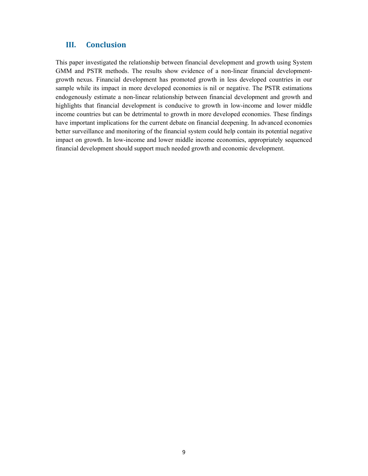## **III. Conclusion**

This paper investigated the relationship between financial development and growth using System GMM and PSTR methods. The results show evidence of a non-linear financial developmentgrowth nexus. Financial development has promoted growth in less developed countries in our sample while its impact in more developed economies is nil or negative. The PSTR estimations endogenously estimate a non-linear relationship between financial development and growth and highlights that financial development is conducive to growth in low-income and lower middle income countries but can be detrimental to growth in more developed economies. These findings have important implications for the current debate on financial deepening. In advanced economies better surveillance and monitoring of the financial system could help contain its potential negative impact on growth. In low-income and lower middle income economies, appropriately sequenced financial development should support much needed growth and economic development.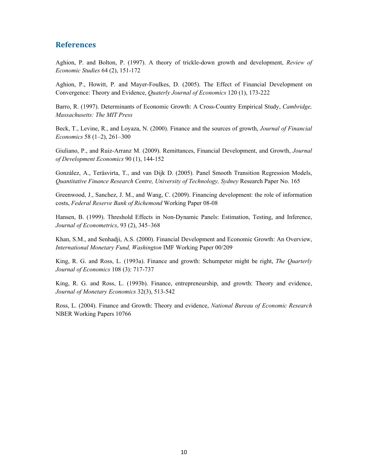#### **References**

Aghion, P. and Bolton, P. (1997). A theory of trickle-down growth and development, *Review of Economic Studies* 64 (2), 151-172

Aghion, P., Howitt, P. and Mayer-Foulkes, D. (2005). The Effect of Financial Development on Convergence: Theory and Evidence, *Quaterly Journal of Economics* 120 (1), 173-222

Barro, R. (1997). Determinants of Economic Growth: A Cross-Country Empirical Study, *Cambridge, Massachusetts: The MIT Press* 

Beck, T., Levine, R., and Loyaza, N. (2000). Finance and the sources of growth, *Journal of Financial Economics* 58 (1–2), 261–300

Giuliano, P., and Ruiz-Arranz M. (2009). Remittances, Financial Development, and Growth, *Journal of Development Economics* 90 (1), 144-152

González, A., Teräsvirta, T., and van Dijk D. (2005). Panel Smooth Transition Regression Models, *Quantitative Finance Research Centre, University of Technology, Sydney* Research Paper No. 165

Greenwood, J., Sanchez, J. M., and Wang, C. (2009). Financing development: the role of information costs, *Federal Reserve Bank of Richemond* Working Paper 08-08

Hansen, B. (1999). Threshold Effects in Non-Dynamic Panels: Estimation, Testing, and Inference, *Journal of Econometrics*, 93 (2), 345–368

Khan, S.M., and Senhadji, A.S. (2000). Financial Development and Economic Growth: An Overview, *International Monetary Fund, Washington* IMF Working Paper 00/209

King, R. G. and Ross, L. (1993a). Finance and growth: Schumpeter might be right, *The Quarterly Journal of Economics* 108 (3): 717-737

King, R. G. and Ross, L. (1993b). Finance, entrepreneurship, and growth: Theory and evidence, *Journal of Monetary Economics* 32(3), 513-542

Ross, L. (2004). Finance and Growth: Theory and evidence, *National Bureau of Economic Research* NBER Working Papers 10766